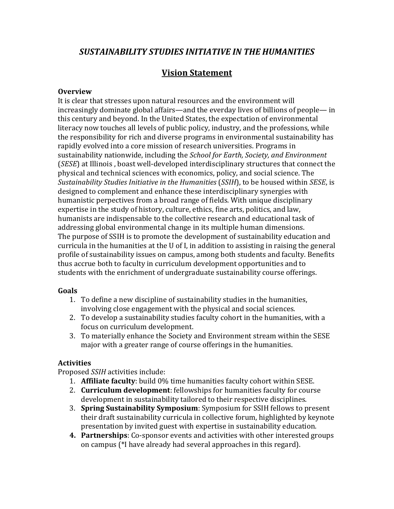## *SUSTAINABILITY STUDIES INITIATIVE IN THE HUMANITIES*

# **Vision Statement**

#### **Overview**

It is clear that stresses upon natural resources and the environment will increasingly dominate global affairs—and the everday lives of billions of people— in this century and beyond. In the United States, the expectation of environmental literacy now touches all levels of public policy, industry, and the professions, while the responsibility for rich and diverse programs in environmental sustainability has rapidly evolved into a core mission of research universities. Programs in sustainability nationwide, including the *School for Earth, Society, and Environment*  (*SESE*) at Illinois , boast well-developed interdisciplinary structures that connect the physical and technical sciences with economics, policy, and social science. The *Sustainability Studies Initiative in the Humanities* (*SSIH*), to be housed within *SESE*, is designed to complement and enhance these interdisciplinary synergies with humanistic perpectives from a broad range of fields. With unique disciplinary expertise in the study of history, culture, ethics, fine arts, politics, and law, humanists are indispensable to the collective research and educational task of addressing global environmental change in its multiple human dimensions. The purpose of SSIH is to promote the development of sustainability education and curricula in the humanities at the U of I, in addition to assisting in raising the general profile of sustainability issues on campus, among both students and faculty. Benefits thus accrue both to faculty in curriculum development opportunities and to students with the enrichment of undergraduate sustainability course offerings.

#### **Goals**

- 1. To define a new discipline of sustainability studies in the humanities, involving close engagement with the physical and social sciences.
- 2. To develop a sustainability studies faculty cohort in the humanities, with a focus on curriculum development.
- 3. To materially enhance the Society and Environment stream within the SESE major with a greater range of course offerings in the humanities.

#### **Activities**

Proposed *SSIH* activities include:

- 1. **Affiliate faculty**: build 0% time humanities faculty cohort within SESE.
- 2. **Curriculum development**: fellowships for humanities faculty for course development in sustainability tailored to their respective disciplines.
- 3. **Spring Sustainability Symposium**: Symposium for SSIH fellows to present their draft sustainability curricula in collective forum, highlighted by keynote presentation by invited guest with expertise in sustainability education.
- **4. Partnerships**: Co-sponsor events and activities with other interested groups on campus (\*I have already had several approaches in this regard).